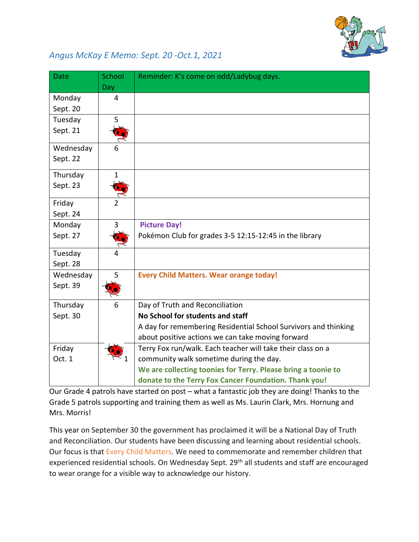

## *Angus McKay E Memo: Sept. 20 -Oct.1, 2021*

| <b>Date</b> | School       | Reminder: K's come on odd/Ladybug days.                         |
|-------------|--------------|-----------------------------------------------------------------|
|             | Day          |                                                                 |
| Monday      | 4            |                                                                 |
| Sept. 20    |              |                                                                 |
| Tuesday     | 5            |                                                                 |
| Sept. 21    |              |                                                                 |
| Wednesday   | 6            |                                                                 |
| Sept. 22    |              |                                                                 |
| Thursday    | $\mathbf{1}$ |                                                                 |
| Sept. 23    |              |                                                                 |
| Friday      |              |                                                                 |
| Sept. 24    |              |                                                                 |
| Monday      | 3            | <b>Picture Day!</b>                                             |
| Sept. 27    |              | Pokémon Club for grades 3-5 12:15-12:45 in the library          |
| Tuesday     |              |                                                                 |
| Sept. 28    |              |                                                                 |
| Wednesday   | 5            | <b>Every Child Matters. Wear orange today!</b>                  |
| Sept. 39    |              |                                                                 |
| Thursday    | 6            | Day of Truth and Reconciliation                                 |
| Sept. 30    |              | No School for students and staff                                |
|             |              | A day for remembering Residential School Survivors and thinking |
|             |              | about positive actions we can take moving forward               |
| Friday      |              | Terry Fox run/walk. Each teacher will take their class on a     |
| Oct. 1      |              | community walk sometime during the day.                         |
|             |              | We are collecting toonies for Terry. Please bring a toonie to   |
|             |              | donate to the Terry Fox Cancer Foundation. Thank you!           |

Our Grade 4 patrols have started on post – what a fantastic job they are doing! Thanks to the Grade 5 patrols supporting and training them as well as Ms. Laurin Clark, Mrs. Hornung and Mrs. Morris!

This year on September 30 the government has proclaimed it will be a National Day of Truth and Reconciliation. Our students have been discussing and learning about residential schools. Our focus is that Every Child Matters. We need to commemorate and remember children that experienced residential schools. On Wednesday Sept. 29<sup>th</sup> all students and staff are encouraged to wear orange for a visible way to acknowledge our history.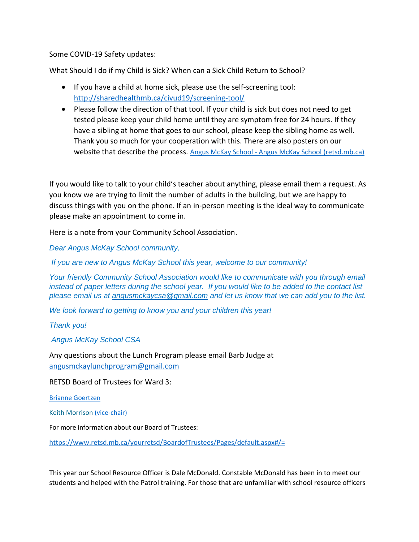## Some COVID-19 Safety updates:

What Should I do if my Child is Sick? When can a Sick Child Return to School?

- If you have a child at home sick, please use the self-screening tool: <http://sharedhealthmb.ca/civud19/screening-tool/>
- Please follow the direction of that tool. If your child is sick but does not need to get tested please keep your child home until they are symptom free for 24 hours. If they have a sibling at home that goes to our school, please keep the sibling home as well. Thank you so much for your cooperation with this. There are also posters on our website that describe the process. Angus McKay School - [Angus McKay School \(retsd.mb.ca\)](https://www.retsd.mb.ca/school/am/Pages/default.aspx#/=)

If you would like to talk to your child's teacher about anything, please email them a request. As you know we are trying to limit the number of adults in the building, but we are happy to discuss things with you on the phone. If an in-person meeting is the ideal way to communicate please make an appointment to come in.

Here is a note from your Community School Association.

*Dear Angus McKay School community,*

*If you are new to Angus McKay School this year, welcome to our community!*

*Your friendly Community School Association would like to communicate with you through email instead of paper letters during the school year. If you would like to be added to the contact list please email us at [angusmckaycsa@gmail.com](mailto:angusmckaycsa@gmail.com) and let us know that we can add you to the list.* 

*We look forward to getting to know you and your children this year!*

*Thank you!*

*Angus McKay School CSA*

Any questions about the Lunch Program please email Barb Judge at [angusmckaylunchprogram@gmail.com](mailto:angusmckaylunchprogram@gmail.com)

RETSD Board of Trustees for Ward 3:

[Brianne Goertzen](https://www.retsd.mb.ca/yourretsd/BoardofTrustees/Pages/BrianneGoertzen.aspx)

[Keith Morrison](https://www.retsd.mb.ca/yourretsd/BoardofTrustees/Pages/KeithMorrison.aspx) (vice-chair)

For more information about our Board of Trustees:

<https://www.retsd.mb.ca/yourretsd/BoardofTrustees/Pages/default.aspx#/=>

This year our School Resource Officer is Dale McDonald. Constable McDonald has been in to meet our students and helped with the Patrol training. For those that are unfamiliar with school resource officers